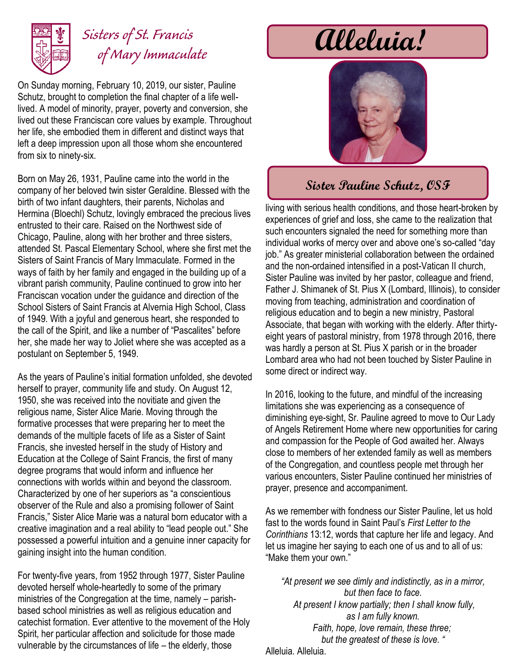

## *Sisters of St. Francis of Mary Immaculate*

On Sunday morning, February 10, 2019, our sister, Pauline Schutz, brought to completion the final chapter of a life welllived. A model of minority, prayer, poverty and conversion, she lived out these Franciscan core values by example. Throughout her life, she embodied them in different and distinct ways that left a deep impression upon all those whom she encountered from six to ninety-six.

Born on May 26, 1931, Pauline came into the world in the company of her beloved twin sister Geraldine. Blessed with the birth of two infant daughters, their parents, Nicholas and Hermina (Bloechl) Schutz, lovingly embraced the precious lives entrusted to their care. Raised on the Northwest side of Chicago, Pauline, along with her brother and three sisters, attended St. Pascal Elementary School, where she first met the Sisters of Saint Francis of Mary Immaculate. Formed in the ways of faith by her family and engaged in the building up of a vibrant parish community, Pauline continued to grow into her Franciscan vocation under the guidance and direction of the School Sisters of Saint Francis at Alvernia High School, Class of 1949. With a joyful and generous heart, she responded to the call of the Spirit, and like a number of "Pascalites" before her, she made her way to Joliet where she was accepted as a postulant on September 5, 1949.

As the years of Pauline's initial formation unfolded, she devoted herself to prayer, community life and study. On August 12, 1950, she was received into the novitiate and given the religious name, Sister Alice Marie. Moving through the formative processes that were preparing her to meet the demands of the multiple facets of life as a Sister of Saint Francis, she invested herself in the study of History and Education at the College of Saint Francis, the first of many degree programs that would inform and influence her connections with worlds within and beyond the classroom. Characterized by one of her superiors as "a conscientious observer of the Rule and also a promising follower of Saint Francis," Sister Alice Marie was a natural born educator with a creative imagination and a real ability to "lead people out." She possessed a powerful intuition and a genuine inner capacity for gaining insight into the human condition.

For twenty-five years, from 1952 through 1977, Sister Pauline devoted herself whole-heartedly to some of the primary ministries of the Congregation at the time, namely – parishbased school ministries as well as religious education and catechist formation. Ever attentive to the movement of the Holy Spirit, her particular affection and solicitude for those made vulnerable by the circumstances of life – the elderly, those

# **Alleluia!**



### **Sister Pauline Schutz, OSF**

living with serious health conditions, and those heart-broken by experiences of grief and loss, she came to the realization that such encounters signaled the need for something more than individual works of mercy over and above one's so-called "day job." As greater ministerial collaboration between the ordained and the non-ordained intensified in a post-Vatican II church, Sister Pauline was invited by her pastor, colleague and friend, Father J. Shimanek of St. Pius X (Lombard, Illinois), to consider moving from teaching, administration and coordination of religious education and to begin a new ministry, Pastoral Associate, that began with working with the elderly. After thirtyeight years of pastoral ministry, from 1978 through 2016, there was hardly a person at St. Pius X parish or in the broader Lombard area who had not been touched by Sister Pauline in some direct or indirect way.

In 2016, looking to the future, and mindful of the increasing limitations she was experiencing as a consequence of diminishing eye-sight, Sr. Pauline agreed to move to Our Lady of Angels Retirement Home where new opportunities for caring and compassion for the People of God awaited her. Always close to members of her extended family as well as members of the Congregation, and countless people met through her various encounters, Sister Pauline continued her ministries of prayer, presence and accompaniment.

As we remember with fondness our Sister Pauline, let us hold fast to the words found in Saint Paul's *First Letter to the Corinthians* 13:12, words that capture her life and legacy. And let us imagine her saying to each one of us and to all of us: "Make them your own."

*"At present we see dimly and indistinctly, as in a mirror, but then face to face. At present I know partially; then I shall know fully, as I am fully known. Faith, hope, love remain, these three; but the greatest of these is love. "* Alleluia. Alleluia.